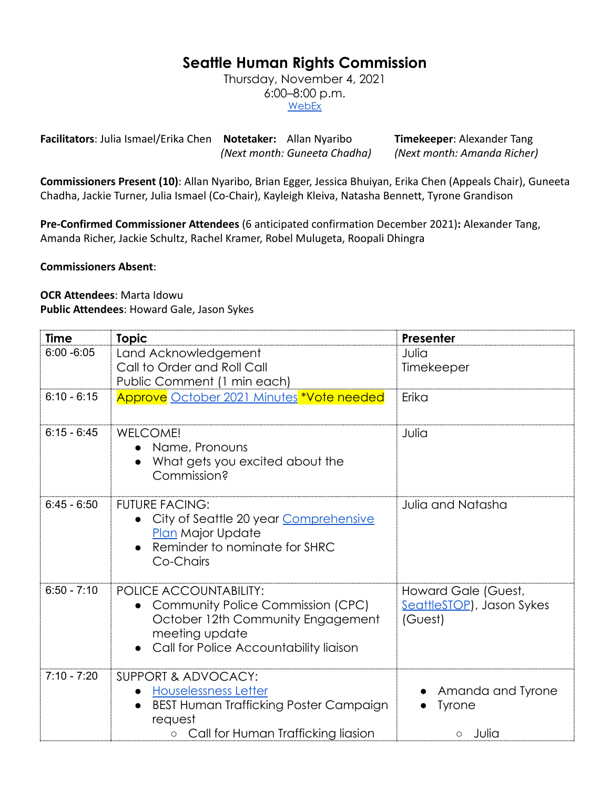## **Seattle Human Rights Commission**

Thursday, November 4, 2021 6:00–8:00 p.m. **[WebEx](https://www.seattle.gov/humanrights/calendar)** 

**Facilitators**: Julia Ismael/Erika Chen **Notetaker:** Allan Nyaribo **Timekeeper**: Alexander Tang *(Next month: Guneeta Chadha) (Next month: Amanda Richer)*

**Commissioners Present (10)**: Allan Nyaribo, Brian Egger, Jessica Bhuiyan, Erika Chen (Appeals Chair), Guneeta Chadha, Jackie Turner, Julia Ismael (Co-Chair), Kayleigh Kleiva, Natasha Bennett, Tyrone Grandison

**Pre-Confirmed Commissioner Attendees** (6 anticipated confirmation December 2021)**:** Alexander Tang, Amanda Richer, Jackie Schultz, Rachel Kramer, Robel Mulugeta, Roopali Dhingra

**Commissioners Absent**:

## **OCR Attendees**: Marta Idowu **Public Attendees**: Howard Gale, Jason Sykes

| Time          | <b>Topic</b>                                                                                                                                                        | Presenter                                                   |
|---------------|---------------------------------------------------------------------------------------------------------------------------------------------------------------------|-------------------------------------------------------------|
| $6:00 - 6:05$ | Land Acknowledgement<br>Call to Order and Roll Call<br>Public Comment (1 min each)                                                                                  | Julia<br>Timekeeper                                         |
| $6:10 - 6:15$ | Approve October 2021 Minutes *Vote needed                                                                                                                           | Erika                                                       |
| $6:15 - 6:45$ | <b>WELCOME!</b><br>• Name, Pronouns<br>What gets you excited about the<br>Commission?                                                                               | Julia                                                       |
| $6:45 - 6:50$ | <b>FUTURE FACING:</b><br>City of Seattle 20 year Comprehensive<br><b>Plan Major Update</b><br>Reminder to nominate for SHRC<br>Co-Chairs                            | <b>Julia and Natasha</b>                                    |
| $6:50 - 7:10$ | <b>POLICE ACCOUNTABILITY:</b><br>Community Police Commission (CPC)<br>October 12th Community Engagement<br>meeting update<br>Call for Police Accountability liaison | Howard Gale (Guest,<br>SeattleSTOP), Jason Sykes<br>(Guest) |
| $7:10 - 7:20$ | SUPPORT & ADVOCACY:<br><b>Houselessness Letter</b><br><b>BEST Human Trafficking Poster Campaign</b><br>request<br>Call for Human Trafficking liasion                | Amanda and Tyrone<br><b>Tyrone</b><br>Julia<br>$\circ$      |